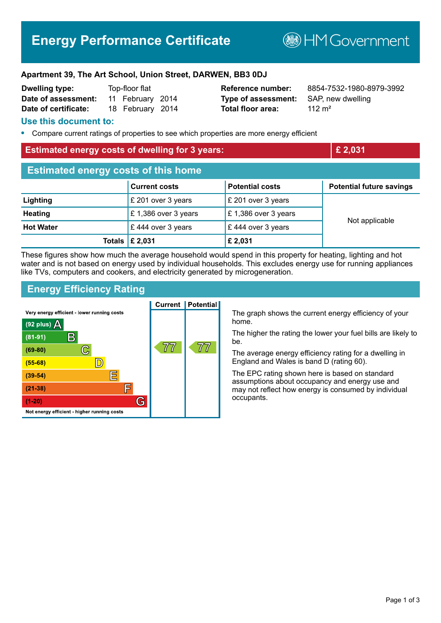# **Energy Performance Certificate**

**B**HMGovernment

### **Apartment 39, The Art School, Union Street, DARWEN, BB3 0DJ**

| <b>Dwelling type:</b> | Top-floor flat |                  |  |
|-----------------------|----------------|------------------|--|
| Date of assessment:   |                | 11 February 2014 |  |
| Date of certificate:  |                | 18 February 2014 |  |

**Type of assessment:** SAP, new dwelling **Total floor area:** 112 m<sup>2</sup>

**Reference number:** 8854-7532-1980-8979-3992

## **Use this document to:**

**•** Compare current ratings of properties to see which properties are more energy efficient

## **Estimated energy costs of dwelling for 3 years: £ 2,031**

| <b>Estimated energy costs of this home</b> |                           |                        |                                 |  |
|--------------------------------------------|---------------------------|------------------------|---------------------------------|--|
|                                            | <b>Current costs</b>      | <b>Potential costs</b> | <b>Potential future savings</b> |  |
| Lighting                                   | £ 201 over 3 years        | £ 201 over 3 years     | Not applicable                  |  |
| <b>Heating</b>                             | £ 1,386 over 3 years      | £1,386 over 3 years    |                                 |  |
| <b>Hot Water</b>                           | £444 over 3 years         | £444 over 3 years      |                                 |  |
|                                            | Totals $\mathsf{E}$ 2,031 | £ 2,031                |                                 |  |

These figures show how much the average household would spend in this property for heating, lighting and hot water and is not based on energy used by individual households. This excludes energy use for running appliances like TVs, computers and cookers, and electricity generated by microgeneration.

## **Energy Efficiency Rating**



The graph shows the current energy efficiency of your home.

The higher the rating the lower your fuel bills are likely to be.

The average energy efficiency rating for a dwelling in England and Wales is band D (rating 60).

The EPC rating shown here is based on standard assumptions about occupancy and energy use and may not reflect how energy is consumed by individual occupants.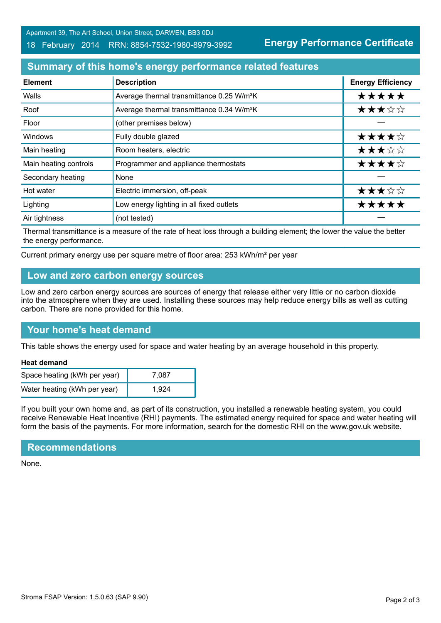Apartment 39, The Art School, Union Street, DARWEN, BB3 0DJ

### 18 February 2014 RRN: 8854-7532-1980-8979-3992

**Energy Performance Certificate**

# **Summary of this home's energy performance related features**

| <b>Element</b>        | <b>Description</b>                                    | <b>Energy Efficiency</b> |
|-----------------------|-------------------------------------------------------|--------------------------|
| Walls                 | Average thermal transmittance 0.25 W/m <sup>2</sup> K | *****                    |
| Roof                  | Average thermal transmittance 0.34 W/m <sup>2</sup> K | ★★★☆☆                    |
| Floor                 | (other premises below)                                |                          |
| Windows               | Fully double glazed                                   | ★★★★☆                    |
| Main heating          | Room heaters, electric                                | ★★★☆☆                    |
| Main heating controls | Programmer and appliance thermostats                  | ★★★★☆                    |
| Secondary heating     | None                                                  |                          |
| Hot water             | Electric immersion, off-peak                          | ★★★☆☆                    |
| Lighting              | Low energy lighting in all fixed outlets              | *****                    |
| Air tightness         | (not tested)                                          |                          |

Thermal transmittance is a measure of the rate of heat loss through a building element; the lower the value the better the energy performance.

Current primary energy use per square metre of floor area: 253 kWh/m² per year

## **Low and zero carbon energy sources**

Low and zero carbon energy sources are sources of energy that release either very little or no carbon dioxide into the atmosphere when they are used. Installing these sources may help reduce energy bills as well as cutting carbon. There are none provided for this home.

# **Your home's heat demand**

This table shows the energy used for space and water heating by an average household in this property.

#### **Heat demand**

| Space heating (kWh per year) | 7.087 |
|------------------------------|-------|
| Water heating (kWh per year) | 1.924 |

If you built your own home and, as part of its construction, you installed a renewable heating system, you could receive Renewable Heat Incentive (RHI) payments. The estimated energy required for space and water heating will form the basis of the payments. For more information, search for the domestic RHI on the www.gov.uk website.

# **Recommendations**

None.